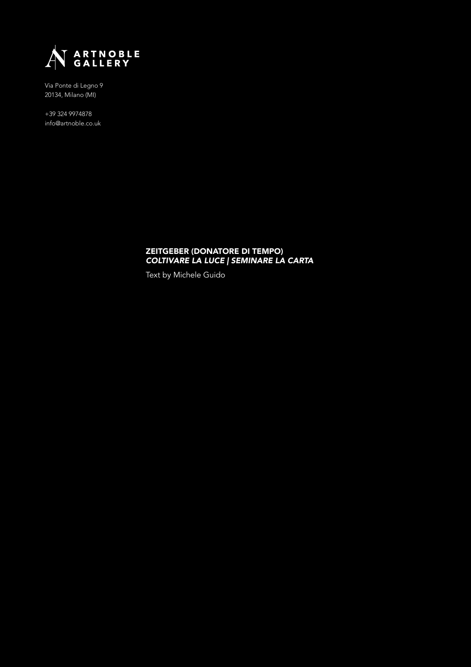

+39 324 9974878 info@artnoble.co.uk

## ZEITGEBER (DONATORE DI TEMPO) *COLTIVARE LA LUCE | SEMINARE LA CARTA*

Text by Michele Guido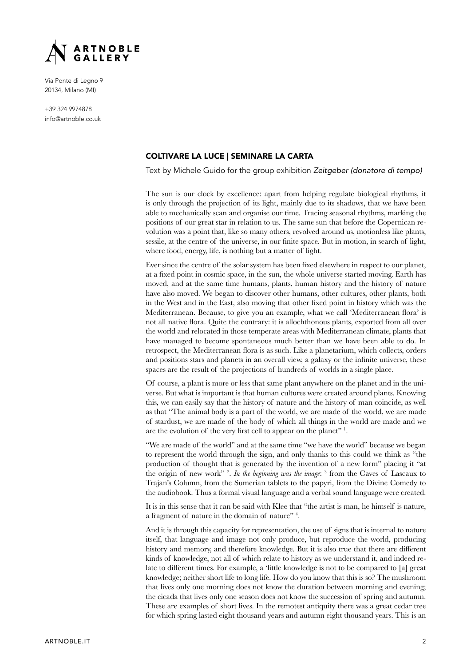

+39 324 9974878 info@artnoble.co.uk

## COLTIVARE LA LUCE | SEMINARE LA CARTA

Text by Michele Guido for the group exhibition *Zeitgeber (donatore di tempo)*

The sun is our clock by excellence: apart from helping regulate biological rhythms, it is only through the projection of its light, mainly due to its shadows, that we have been able to mechanically scan and organise our time. Tracing seasonal rhythms, marking the positions of our great star in relation to us. The same sun that before the Copernican revolution was a point that, like so many others, revolved around us, motionless like plants, sessile, at the centre of the universe, in our finite space. But in motion, in search of light, where food, energy, life, is nothing but a matter of light.

Ever since the centre of the solar system has been fixed elsewhere in respect to our planet, at a fixed point in cosmic space, in the sun, the whole universe started moving. Earth has moved, and at the same time humans, plants, human history and the history of nature have also moved. We began to discover other humans, other cultures, other plants, both in the West and in the East, also moving that other fixed point in history which was the Mediterranean. Because, to give you an example, what we call 'Mediterranean flora' is not all native flora. Quite the contrary: it is allochthonous plants, exported from all over the world and relocated in those temperate areas with Mediterranean climate, plants that have managed to become spontaneous much better than we have been able to do. In retrospect, the Mediterranean flora is as such. Like a planetarium, which collects, orders and positions stars and planets in an overall view, a galaxy or the infinite universe, these spaces are the result of the projections of hundreds of worlds in a single place.

Of course, a plant is more or less that same plant anywhere on the planet and in the universe. But what is important is that human cultures were created around plants. Knowing this, we can easily say that the history of nature and the history of man coincide, as well as that "The animal body is a part of the world, we are made of the world, we are made of stardust, we are made of the body of which all things in the world are made and we are the evolution of the very first cell to appear on the planet" 1.

"We are made of the world" and at the same time "we have the world" because we began to represent the world through the sign, and only thanks to this could we think as "the production of thought that is generated by the invention of a new form" placing it "at the origin of new work" <sup>2</sup>. In the beginning was the image: <sup>3</sup> from the Caves of Lascaux to Trajan's Column, from the Sumerian tablets to the papyri, from the Divine Comedy to the audiobook. Thus a formal visual language and a verbal sound language were created.

It is in this sense that it can be said with Klee that "the artist is man, he himself is nature, a fragment of nature in the domain of nature"<sup>4</sup>.

And it is through this capacity for representation, the use of signs that is internal to nature itself, that language and image not only produce, but reproduce the world, producing history and memory, and therefore knowledge. But it is also true that there are different kinds of knowledge, not all of which relate to history as we understand it, and indeed relate to different times. For example, a 'little knowledge is not to be compared to [a] great knowledge; neither short life to long life. How do you know that this is so? The mushroom that lives only one morning does not know the duration between morning and evening; the cicada that lives only one season does not know the succession of spring and autumn. These are examples of short lives. In the remotest antiquity there was a great cedar tree for which spring lasted eight thousand years and autumn eight thousand years. This is an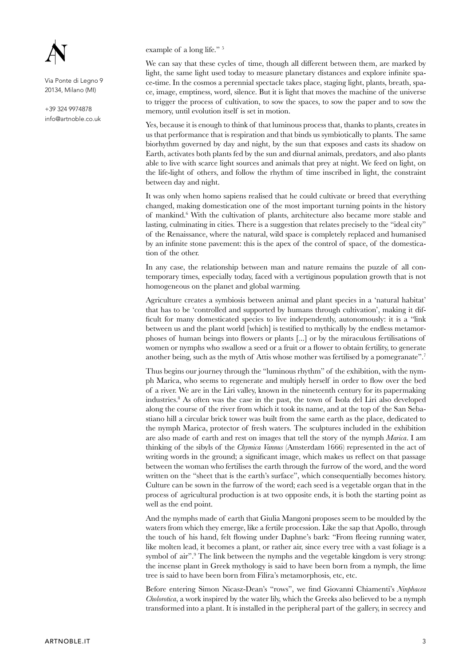

+39 324 9974878 info@artnoble.co.uk example of a long life." <sup>5</sup>

We can say that these cycles of time, though all different between them, are marked by light, the same light used today to measure planetary distances and explore infinite space-time. In the cosmos a perennial spectacle takes place, staging light, plants, breath, space, image, emptiness, word, silence. But it is light that moves the machine of the universe to trigger the process of cultivation, to sow the spaces, to sow the paper and to sow the memory, until evolution itself is set in motion.

Yes, because it is enough to think of that luminous process that, thanks to plants, creates in us that performance that is respiration and that binds us symbiotically to plants. The same biorhythm governed by day and night, by the sun that exposes and casts its shadow on Earth, activates both plants fed by the sun and diurnal animals, predators, and also plants able to live with scarce light sources and animals that prey at night. We feed on light, on the life-light of others, and follow the rhythm of time inscribed in light, the constraint between day and night.

It was only when homo sapiens realised that he could cultivate or breed that everything changed, making domestication one of the most important turning points in the history of mankind.<sup>6</sup> With the cultivation of plants, architecture also became more stable and lasting, culminating in cities. There is a suggestion that relates precisely to the "ideal city" of the Renaissance, where the natural, wild space is completely replaced and humanised by an infinite stone pavement: this is the apex of the control of space, of the domestication of the other.

In any case, the relationship between man and nature remains the puzzle of all contemporary times, especially today, faced with a vertiginous population growth that is not homogeneous on the planet and global warming.

Agriculture creates a symbiosis between animal and plant species in a 'natural habitat' that has to be 'controlled and supported by humans through cultivation', making it difficult for many domesticated species to live independently, autonomously: it is a "link between us and the plant world [which] is testified to mythically by the endless metamorphoses of human beings into flowers or plants [...] or by the miraculous fertilisations of women or nymphs who swallow a seed or a fruit or a flower to obtain fertility, to generate another being, such as the myth of Attis whose mother was fertilised by a pomegranate".<sup>7</sup>

Thus begins our journey through the "luminous rhythm" of the exhibition, with the nymph Marica, who seems to regenerate and multiply herself in order to flow over the bed of a river. We are in the Liri valley, known in the nineteenth century for its papermaking industries.8 As often was the case in the past, the town of Isola del Liri also developed along the course of the river from which it took its name, and at the top of the San Sebastiano hill a circular brick tower was built from the same earth as the place, dedicated to the nymph Marica, protector of fresh waters. The sculptures included in the exhibition are also made of earth and rest on images that tell the story of the nymph *Marica*. I am thinking of the sibyls of the *Chymica Vannus* (Amsterdam 1666) represented in the act of writing words in the ground; a significant image, which makes us reflect on that passage between the woman who fertilises the earth through the furrow of the word, and the word written on the "sheet that is the earth's surface", which consequentially becomes history. Culture can be sown in the furrow of the word; each seed is a vegetable organ that in the process of agricultural production is at two opposite ends, it is both the starting point as well as the end point.

And the nymphs made of earth that Giulia Mangoni proposes seem to be moulded by the waters from which they emerge, like a fertile procession. Like the sap that Apollo, through the touch of his hand, felt flowing under Daphne's bark: "From fleeing running water, like molten lead, it becomes a plant, or rather air, since every tree with a vast foliage is a symbol of air".<sup>9</sup> The link between the nymphs and the vegetable kingdom is very strong: the incense plant in Greek mythology is said to have been born from a nymph, the lime tree is said to have been born from Filira's metamorphosis, etc, etc.

Before entering Simon Nicasz-Dean's "rows", we find Giovanni Chiamenti's *Ninphacea Cholorotica*, a work inspired by the water lily, which the Greeks also believed to be a nymph transformed into a plant. It is installed in the peripheral part of the gallery, in secrecy and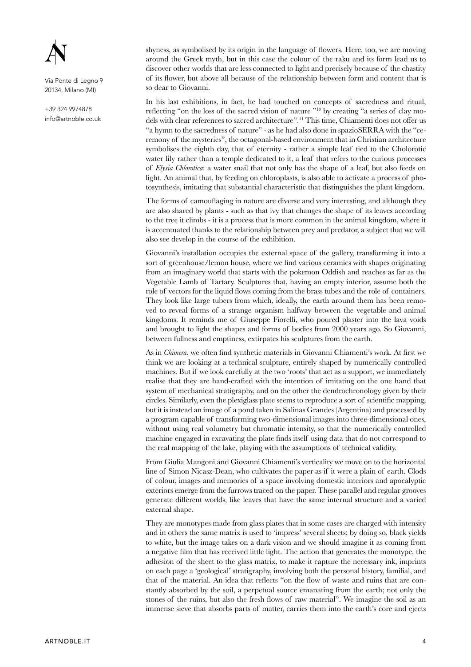

+39 324 9974878 info@artnoble.co.uk shyness, as symbolised by its origin in the language of flowers. Here, too, we are moving around the Greek myth, but in this case the colour of the raku and its form lead us to discover other worlds that are less connected to light and precisely because of the chastity of its flower, but above all because of the relationship between form and content that is so dear to Giovanni.

In his last exhibitions, in fact, he had touched on concepts of sacredness and ritual, reflecting "on the loss of the sacred vision of nature "10 by creating "a series of clay models with clear references to sacred architecture".<sup>11</sup> This time, Chiamenti does not offer us "a hymn to the sacredness of nature" - as he had also done in spazioSERRA with the "ceremony of the mysteries", the octagonal-based environment that in Christian architecture symbolises the eighth day, that of eternity - rather a simple leaf tied to the Cholorotic water lily rather than a temple dedicated to it, a leaf that refers to the curious processes of *Elysia Chlorotica*: a water snail that not only has the shape of a leaf, but also feeds on light. An animal that, by feeding on chloroplasts, is also able to activate a process of photosynthesis, imitating that substantial characteristic that distinguishes the plant kingdom.

The forms of camouflaging in nature are diverse and very interesting, and although they are also shared by plants - such as that ivy that changes the shape of its leaves according to the tree it climbs - it is a process that is more common in the animal kingdom, where it is accentuated thanks to the relationship between prey and predator, a subject that we will also see develop in the course of the exhibition.

Giovanni's installation occupies the external space of the gallery, transforming it into a sort of greenhouse/lemon house, where we find various ceramics with shapes originating from an imaginary world that starts with the pokemon Oddish and reaches as far as the Vegetable Lamb of Tartary. Sculptures that, having an empty interior, assume both the role of vectors for the liquid flows coming from the brass tubes and the role of containers. They look like large tubers from which, ideally, the earth around them has been removed to reveal forms of a strange organism halfway between the vegetable and animal kingdoms. It reminds me of Giuseppe Fiorelli, who poured plaster into the lava voids and brought to light the shapes and forms of bodies from 2000 years ago. So Giovanni, between fullness and emptiness, extirpates his sculptures from the earth.

As in *Chimera*, we often find synthetic materials in Giovanni Chiamenti's work. At first we think we are looking at a technical sculpture, entirely shaped by numerically controlled machines. But if we look carefully at the two 'roots' that act as a support, we immediately realise that they are hand-crafted with the intention of imitating on the one hand that system of mechanical stratigraphy, and on the other the dendrochronology given by their circles. Similarly, even the plexiglass plate seems to reproduce a sort of scientific mapping, but it is instead an image of a pond taken in Salinas Grandes (Argentina) and processed by a program capable of transforming two-dimensional images into three-dimensional ones, without using real volumetry but chromatic intensity, so that the numerically controlled machine engaged in excavating the plate finds itself using data that do not correspond to the real mapping of the lake, playing with the assumptions of technical validity.

From Giulia Mangoni and Giovanni Chiamenti's verticality we move on to the horizontal line of Simon Nicasz-Dean, who cultivates the paper as if it were a plain of earth. Clods of colour, images and memories of a space involving domestic interiors and apocalyptic exteriors emerge from the furrows traced on the paper. These parallel and regular grooves generate different worlds, like leaves that have the same internal structure and a varied external shape.

They are monotypes made from glass plates that in some cases are charged with intensity and in others the same matrix is used to 'impress' several sheets; by doing so, black yields to white, but the image takes on a dark vision and we should imagine it as coming from a negative film that has received little light. The action that generates the monotype, the adhesion of the sheet to the glass matrix, to make it capture the necessary ink, imprints on each page a 'geological' stratigraphy, involving both the personal history, familial, and that of the material. An idea that reflects "on the flow of waste and ruins that are constantly absorbed by the soil, a perpetual source emanating from the earth; not only the stones of the ruins, but also the fresh flows of raw material". We imagine the soil as an immense sieve that absorbs parts of matter, carries them into the earth's core and ejects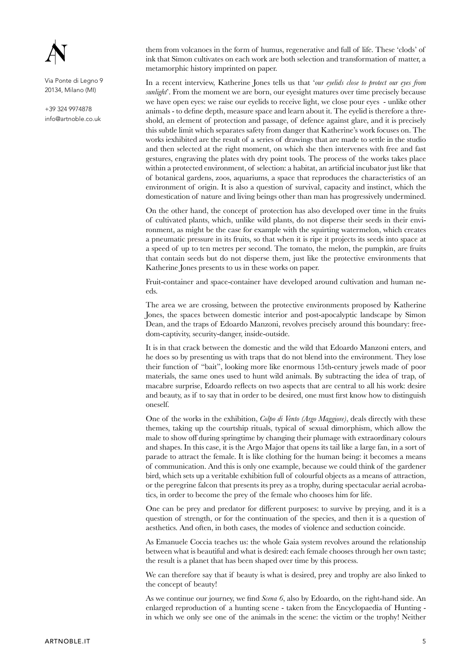+39 324 9974878 info@artnoble.co.uk them from volcanoes in the form of humus, regenerative and full of life. These 'clods' of ink that Simon cultivates on each work are both selection and transformation of matter, a metamorphic history imprinted on paper.

In a recent interview, Katherine Jones tells us that '*our eyelids close to protect our eyes from sunlight*'. From the moment we are born, our eyesight matures over time precisely because we have open eyes: we raise our eyelids to receive light, we close pour eyes - unlike other animals - to define depth, measure space and learn about it. The eyelid is therefore a threshold, an element of protection and passage, of defence against glare, and it is precisely this subtle limit which separates safety from danger that Katherine's work focuses on. The works iexhibited are the result of a series of drawings that are made to settle in the studio and then selected at the right moment, on which she then intervenes with free and fast gestures, engraving the plates with dry point tools. The process of the works takes place within a protected environment, of selection: a habitat, an artificial incubator just like that of botanical gardens, zoos, aquariums, a space that reproduces the characteristics of an environment of origin. It is also a question of survival, capacity and instinct, which the domestication of nature and living beings other than man has progressively undermined.

On the other hand, the concept of protection has also developed over time in the fruits of cultivated plants, which, unlike wild plants, do not disperse their seeds in their environment, as might be the case for example with the squirting watermelon, which creates a pneumatic pressure in its fruits, so that when it is ripe it projects its seeds into space at a speed of up to ten metres per second. The tomato, the melon, the pumpkin, are fruits that contain seeds but do not disperse them, just like the protective environments that Katherine Jones presents to us in these works on paper.

Fruit-container and space-container have developed around cultivation and human needs.

The area we are crossing, between the protective environments proposed by Katherine Jones, the spaces between domestic interior and post-apocalyptic landscape by Simon Dean, and the traps of Edoardo Manzoni, revolves precisely around this boundary: freedom-captivity, security-danger, inside-outside.

It is in that crack between the domestic and the wild that Edoardo Manzoni enters, and he does so by presenting us with traps that do not blend into the environment. They lose their function of "bait", looking more like enormous 15th-century jewels made of poor materials, the same ones used to hunt wild animals. By subtracting the idea of trap, of macabre surprise, Edoardo reflects on two aspects that are central to all his work: desire and beauty, as if to say that in order to be desired, one must first know how to distinguish oneself.

One of the works in the exhibition, *Colpo di Vento (Argo Maggiore)*, deals directly with these themes, taking up the courtship rituals, typical of sexual dimorphism, which allow the male to show off during springtime by changing their plumage with extraordinary colours and shapes. In this case, it is the Argo Major that opens its tail like a large fan, in a sort of parade to attract the female. It is like clothing for the human being: it becomes a means of communication. And this is only one example, because we could think of the gardener bird, which sets up a veritable exhibition full of colourful objects as a means of attraction, or the peregrine falcon that presents its prey as a trophy, during spectacular aerial acrobatics, in order to become the prey of the female who chooses him for life.

One can be prey and predator for different purposes: to survive by preying, and it is a question of strength, or for the continuation of the species, and then it is a question of aesthetics. And often, in both cases, the modes of violence and seduction coincide.

As Emanuele Coccia teaches us: the whole Gaia system revolves around the relationship between what is beautiful and what is desired: each female chooses through her own taste; the result is a planet that has been shaped over time by this process.

We can therefore say that if beauty is what is desired, prey and trophy are also linked to the concept of beauty!

As we continue our journey, we find *Scena 6*, also by Edoardo, on the right-hand side. An enlarged reproduction of a hunting scene - taken from the Encyclopaedia of Hunting in which we only see one of the animals in the scene: the victim or the trophy! Neither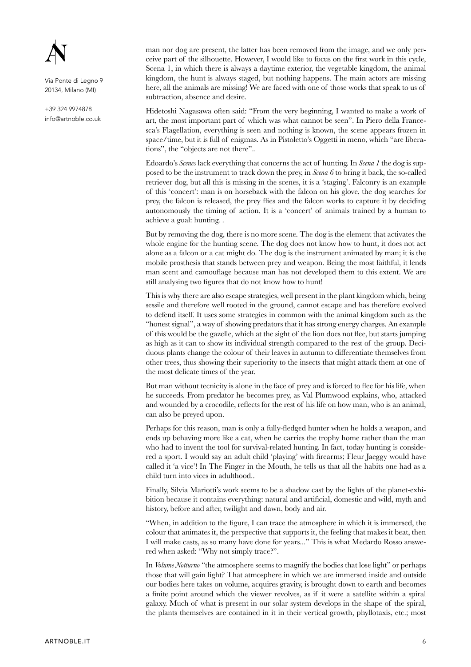+39 324 9974878 info@artnoble.co.uk man nor dog are present, the latter has been removed from the image, and we only perceive part of the silhouette. However, I would like to focus on the first work in this cycle, Scena 1, in which there is always a daytime exterior, the vegetable kingdom, the animal kingdom, the hunt is always staged, but nothing happens. The main actors are missing here, all the animals are missing! We are faced with one of those works that speak to us of subtraction, absence and desire.

Hidetoshi Nagasawa often said: "From the very beginning, I wanted to make a work of art, the most important part of which was what cannot be seen". In Piero della Francesca's Flagellation, everything is seen and nothing is known, the scene appears frozen in space/time, but it is full of enigmas. As in Pistoletto's Oggetti in meno, which "are liberations", the "objects are not there"..

Edoardo's *Scenes* lack everything that concerns the act of hunting. In *Scena 1* the dog is supposed to be the instrument to track down the prey, in *Scena 6* to bring it back, the so-called retriever dog, but all this is missing in the scenes, it is a 'staging'. Falconry is an example of this 'concert': man is on horseback with the falcon on his glove, the dog searches for prey, the falcon is released, the prey flies and the falcon works to capture it by deciding autonomously the timing of action. It is a 'concert' of animals trained by a human to achieve a goal: hunting. .

But by removing the dog, there is no more scene. The dog is the element that activates the whole engine for the hunting scene. The dog does not know how to hunt, it does not act alone as a falcon or a cat might do. The dog is the instrument animated by man; it is the mobile prosthesis that stands between prey and weapon. Being the most faithful, it lends man scent and camouflage because man has not developed them to this extent. We are still analysing two figures that do not know how to hunt!

This is why there are also escape strategies, well present in the plant kingdom which, being sessile and therefore well rooted in the ground, cannot escape and has therefore evolved to defend itself. It uses some strategies in common with the animal kingdom such as the "honest signal", a way of showing predators that it has strong energy charges. An example of this would be the gazelle, which at the sight of the lion does not flee, but starts jumping as high as it can to show its individual strength compared to the rest of the group. Deciduous plants change the colour of their leaves in autumn to differentiate themselves from other trees, thus showing their superiority to the insects that might attack them at one of the most delicate times of the year.

But man without tecnicity is alone in the face of prey and is forced to flee for his life, when he succeeds. From predator he becomes prey, as Val Plumwood explains, who, attacked and wounded by a crocodile, reflects for the rest of his life on how man, who is an animal, can also be preyed upon.

Perhaps for this reason, man is only a fully-fledged hunter when he holds a weapon, and ends up behaving more like a cat, when he carries the trophy home rather than the man who had to invent the tool for survival-related hunting. In fact, today hunting is considered a sport. I would say an adult child 'playing' with firearms; Fleur Jaeggy would have called it 'a vice'! In The Finger in the Mouth, he tells us that all the habits one had as a child turn into vices in adulthood..

Finally, Silvia Mariotti's work seems to be a shadow cast by the lights of the planet-exhibition because it contains everything: natural and artificial, domestic and wild, myth and history, before and after, twilight and dawn, body and air.

"When, in addition to the figure, I can trace the atmosphere in which it is immersed, the colour that animates it, the perspective that supports it, the feeling that makes it beat, then I will make casts, as so many have done for years..." This is what Medardo Rosso answered when asked: "Why not simply trace?".

In *Volume Notturno* "the atmosphere seems to magnify the bodies that lose light" or perhaps those that will gain light? That atmosphere in which we are immersed inside and outside our bodies here takes on volume, acquires gravity, is brought down to earth and becomes a finite point around which the viewer revolves, as if it were a satellite within a spiral galaxy. Much of what is present in our solar system develops in the shape of the spiral, the plants themselves are contained in it in their vertical growth, phyllotaxis, etc.; most